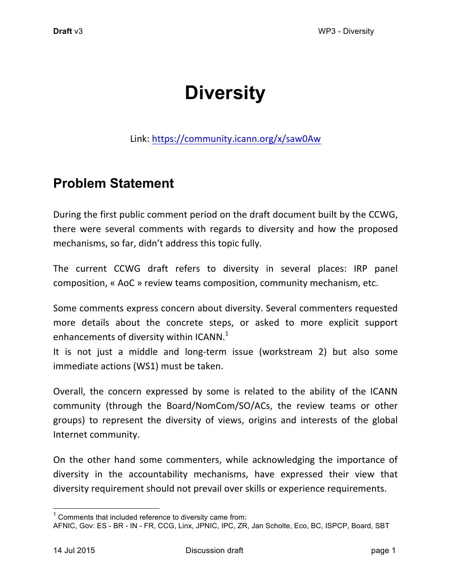# **Diversity**

Link: https://community.icann.org/x/saw0Aw

# **Problem Statement**

During the first public comment period on the draft document built by the CCWG, there were several comments with regards to diversity and how the proposed mechanisms, so far, didn't address this topic fully.

The current CCWG draft refers to diversity in several places: IRP panel composition, « AoC » review teams composition, community mechanism, etc.

Some comments express concern about diversity. Several commenters requested more details about the concrete steps, or asked to more explicit support enhancements of diversity within  $ICANN<sup>1</sup>$ 

It is not just a middle and long-term issue (workstream 2) but also some immediate actions (WS1) must be taken.

Overall, the concern expressed by some is related to the ability of the ICANN community (through the Board/NomCom/SO/ACs, the review teams or other groups) to represent the diversity of views, origins and interests of the global Internet community.

On the other hand some commenters, while acknowledging the importance of diversity in the accountability mechanisms, have expressed their view that diversity requirement should not prevail over skills or experience requirements.

 $1$  Comments that included reference to diversity came from:

AFNIC, Gov: ES - BR - IN - FR, CCG, Linx, JPNIC, IPC, ZR, Jan Scholte, Eco, BC, ISPCP, Board, SBT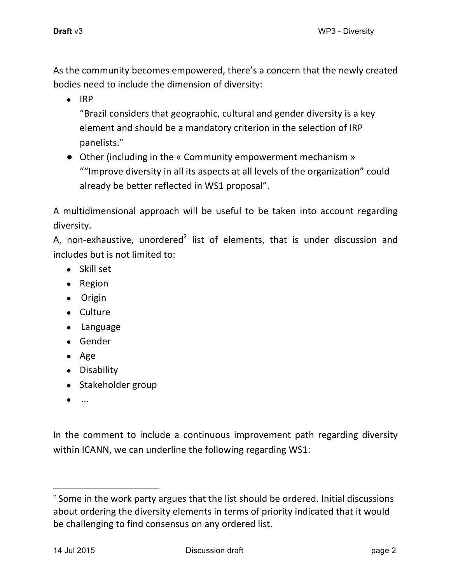As the community becomes empowered, there's a concern that the newly created bodies need to include the dimension of diversity:

● IRP

"Brazil considers that geographic, cultural and gender diversity is a key element and should be a mandatory criterion in the selection of IRP panelists."

• Other (including in the « Community empowerment mechanism » ""Improve diversity in all its aspects at all levels of the organization" could already be better reflected in WS1 proposal".

A multidimensional approach will be useful to be taken into account regarding diversity.

A, non-exhaustive, unordered<sup>2</sup> list of elements, that is under discussion and includes but is not limited to:

- Skill set
- Region
- Origin
- Culture
- Language
- Gender
- Age
- Disability
- Stakeholder group
- ...

In the comment to include a continuous improvement path regarding diversity within ICANN, we can underline the following regarding WS1:

 $2$  Some in the work party argues that the list should be ordered. Initial discussions about ordering the diversity elements in terms of priority indicated that it would be challenging to find consensus on any ordered list.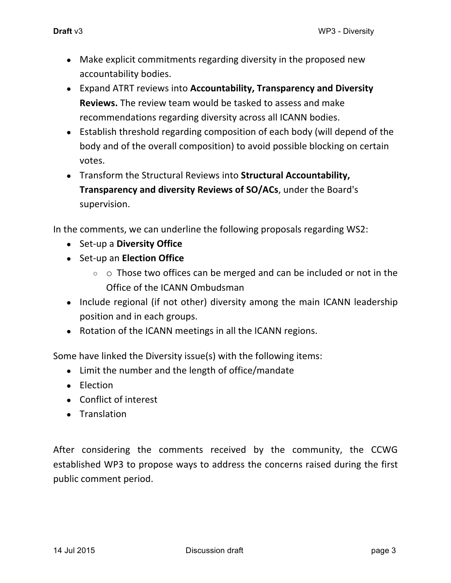- Make explicit commitments regarding diversity in the proposed new accountability bodies.
- Expand ATRT reviews into **Accountability, Transparency and Diversity Reviews.** The review team would be tasked to assess and make recommendations regarding diversity across all ICANN bodies.
- Establish threshold regarding composition of each body (will depend of the body and of the overall composition) to avoid possible blocking on certain votes.
- Transform the Structural Reviews into **Structural Accountability, Transparency and diversity Reviews of SO/ACs**, under the Board's supervision.

In the comments, we can underline the following proposals regarding WS2:

- Set-up a **Diversity Office**
- Set-up an **Election Office**
	- $\circ$   $\circ$  Those two offices can be merged and can be included or not in the Office of the ICANN Ombudsman
- Include regional (if not other) diversity among the main ICANN leadership position and in each groups.
- Rotation of the ICANN meetings in all the ICANN regions.

Some have linked the Diversity issue(s) with the following items:

- Limit the number and the length of office/mandate
- Election
- Conflict of interest
- Translation

After considering the comments received by the community, the CCWG established WP3 to propose ways to address the concerns raised during the first public comment period.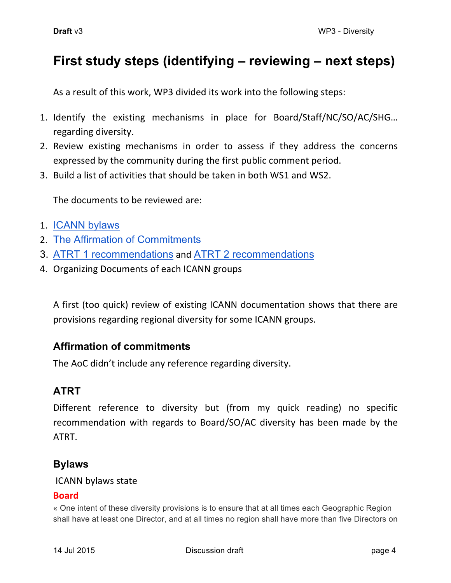# **First study steps (identifying – reviewing – next steps)**

As a result of this work, WP3 divided its work into the following steps:

- 1. Identify the existing mechanisms in place for Board/Staff/NC/SO/AC/SHG... regarding diversity.
- 2. Review existing mechanisms in order to assess if they address the concerns expressed by the community during the first public comment period.
- 3. Build a list of activities that should be taken in both WS1 and WS2.

The documents to be reviewed are:

- 1. ICANN bylaws
- 2. The Affirmation of Commitments
- 3. ATRT 1 recommendations and ATRT 2 recommendations
- 4. Organizing Documents of each ICANN groups

A first (too quick) review of existing ICANN documentation shows that there are provisions regarding regional diversity for some ICANN groups.

# **Affirmation of commitments**

The AoC didn't include any reference regarding diversity.

# **ATRT**

Different reference to diversity but (from my quick reading) no specific recommendation with regards to Board/SO/AC diversity has been made by the ATRT.

# **Bylaws**

### ICANN bylaws state

### **Board**

« One intent of these diversity provisions is to ensure that at all times each Geographic Region shall have at least one Director, and at all times no region shall have more than five Directors on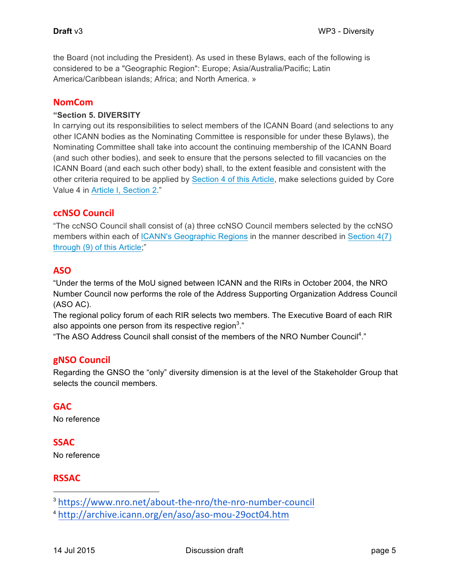the Board (not including the President). As used in these Bylaws, each of the following is considered to be a "Geographic Region": Europe; Asia/Australia/Pacific; Latin America/Caribbean islands; Africa; and North America. »

#### **NomCom**

#### **"Section 5. DIVERSITY**

In carrying out its responsibilities to select members of the ICANN Board (and selections to any other ICANN bodies as the Nominating Committee is responsible for under these Bylaws), the Nominating Committee shall take into account the continuing membership of the ICANN Board (and such other bodies), and seek to ensure that the persons selected to fill vacancies on the ICANN Board (and each such other body) shall, to the extent feasible and consistent with the other criteria required to be applied by Section 4 of this Article, make selections guided by Core Value 4 in Article I, Section 2."

#### **ccNSO Council**

"The ccNSO Council shall consist of (a) three ccNSO Council members selected by the ccNSO members within each of ICANN's Geographic Regions in the manner described in Section 4(7) through (9) of this Article;"

#### **ASO**

"Under the terms of the MoU signed between ICANN and the RIRs in October 2004, the NRO Number Council now performs the role of the Address Supporting Organization Address Council (ASO AC).

The regional policy forum of each RIR selects two members. The Executive Board of each RIR also appoints one person from its respective region<sup>3</sup>."

"The ASO Address Council shall consist of the members of the NRO Number Council<sup>4</sup>."

#### **gNSO Council**

Regarding the GNSO the "only" diversity dimension is at the level of the Stakeholder Group that selects the council members.

#### **GAC**

No reference

#### **SSAC**

No reference

#### **RSSAC**

3 https://www.nro.net/about-the-nro/the-nro-number-council

<sup>4</sup> http://archive.icann.org/en/aso/aso-mou-29oct04.htm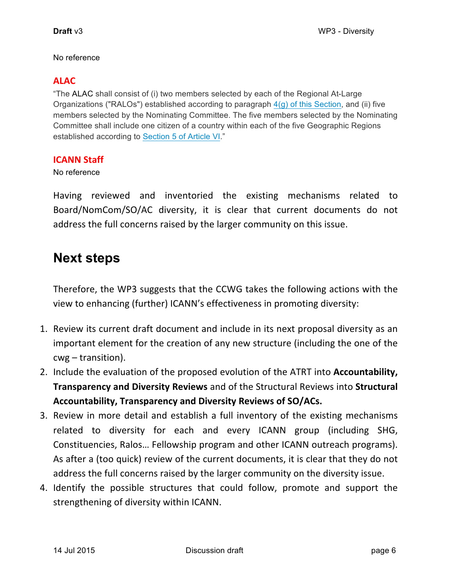#### No reference

# **ALAC**

"The ALAC shall consist of (i) two members selected by each of the Regional At-Large Organizations ("RALOs") established according to paragraph  $4(q)$  of this Section, and (ii) five members selected by the Nominating Committee. The five members selected by the Nominating Committee shall include one citizen of a country within each of the five Geographic Regions established according to Section 5 of Article VI."

### **ICANN Staff**

No reference

Having reviewed and inventoried the existing mechanisms related to Board/NomCom/SO/AC diversity, it is clear that current documents do not address the full concerns raised by the larger community on this issue.

# **Next steps**

Therefore, the WP3 suggests that the CCWG takes the following actions with the view to enhancing (further) ICANN's effectiveness in promoting diversity:

- 1. Review its current draft document and include in its next proposal diversity as an important element for the creation of any new structure (including the one of the  $cwg - transition$ ).
- 2. Include the evaluation of the proposed evolution of the ATRT into **Accountability, Transparency and Diversity Reviews** and of the Structural Reviews into Structural Accountability, Transparency and Diversity Reviews of SO/ACs.
- 3. Review in more detail and establish a full inventory of the existing mechanisms related to diversity for each and every ICANN group (including SHG, Constituencies, Ralos... Fellowship program and other ICANN outreach programs). As after a (too quick) review of the current documents, it is clear that they do not address the full concerns raised by the larger community on the diversity issue.
- 4. Identify the possible structures that could follow, promote and support the strengthening of diversity within ICANN.